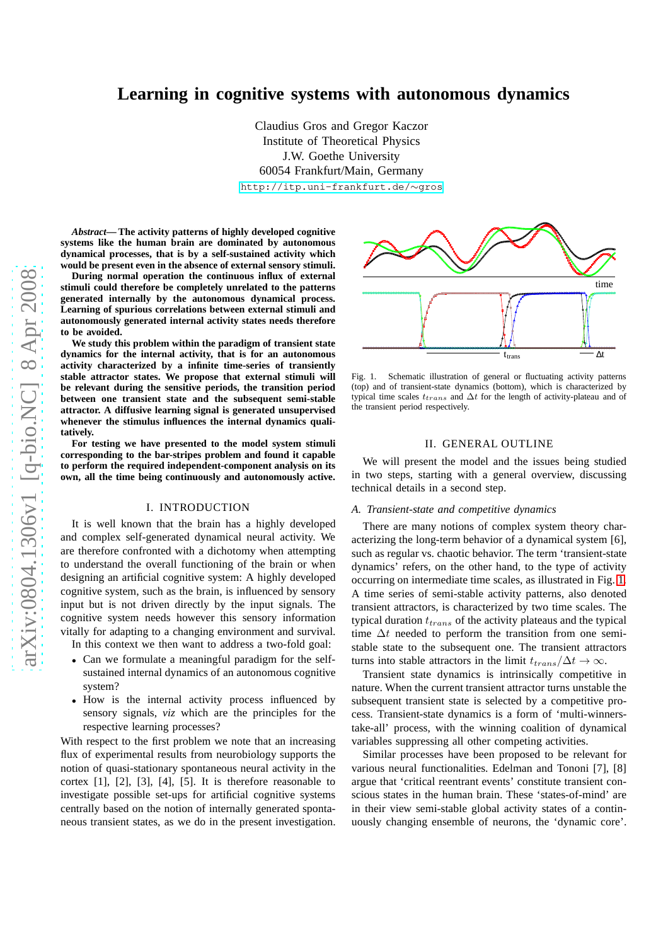# **Learning in cognitive systems with autonomous dynamics**

Claudius Gros and Gregor Kaczor Institute of Theoretical Physics J.W. Goethe University 60054 Frankfurt/Main, Germany [http://itp.uni-frankfurt.de/](http://itp.uni-frankfurt.de/~gros)∼gros

*Abstract***— The activity patterns of highly developed cognitive systems like the human brain are dominated by autonomous dynamical processes, that is by a self-sustained activity which would be present even in the absence of external sensory stimuli.**

**During normal operation the continuous influx of external stimuli could therefore be completely unrelated to the patterns generated internally by the autonomous dynamical process. Learning of spurious correlations between external stimuli and autonomously generated internal activity states needs therefore to be avoided.**

**We study this problem within the paradigm of transient state dynamics for the internal activity, that is for an autonomous activity characterized by a infinite time-series of transiently stable attractor states. We propose that external stimuli will be relevant during the sensitive periods, the transition period between one transient state and the subsequent semi-stable attractor. A diffusive learning signal is generated unsupervised whenever the stimulus influences the internal dynamics qualitatively.**

**For testing we have presented to the model system stimuli corresponding to the bar-stripes problem and found it capable to perform the required independent-component analysis on its own, all the time being continuously and autonomously active.**

### I. INTRODUCTION

It is well known that the brain has a highly developed and complex self-generated dynamical neural activity. We are therefore confronted with a dichotomy when attempting to understand the overall functioning of the brain or when designing an artificial cognitive system: A highly developed cognitive system, such as the brain, is influenced by sensory input but is not driven directly by the input signals. The cognitive system needs however this sensory information vitally for adapting to a changing environment and survival.

In this context we then want to address a two-fold goal:

- Can we formulate a meaningful paradigm for the selfsustained internal dynamics of an autonomous cognitive system?
- How is the internal activity process influenced by sensory signals, *viz* which are the principles for the respective learning processes?

With respect to the first problem we note that an increasing flux of experimental results from neurobiology supports the notion of quasi-stationary spontaneous neural activity in the cortex [1], [2], [3], [4], [5]. It is therefore reasonable to investigate possible set-ups for artificial cognitive systems centrally based on the notion of internally generated spontaneous transient states, as we do in the present investigation.



<span id="page-0-0"></span>Fig. 1. Schematic illustration of general or fluctuating activity patterns (top) and of transient-state dynamics (bottom), which is characterized by typical time scales  $t_{trans}$  and  $\Delta t$  for the length of activity-plateau and of the transient period respectively.

## II. GENERAL OUTLINE

We will present the model and the issues being studied in two steps, starting with a general overview, discussing technical details in a second step.

### *A. Transient-state and competitive dynamics*

There are many notions of complex system theory characterizing the long-term behavior of a dynamical system [6], such as regular vs. chaotic behavior. The term 'transient-state dynamics' refers, on the other hand, to the type of activity occurring on intermediate time scales, as illustrated in Fig. [1.](#page-0-0) A time series of semi-stable activity patterns, also denoted transient attractors, is characterized by two time scales. The typical duration  $t_{trans}$  of the activity plateaus and the typical time  $\Delta t$  needed to perform the transition from one semistable state to the subsequent one. The transient attractors turns into stable attractors in the limit  $t_{trans}/\Delta t \rightarrow \infty$ .

Transient state dynamics is intrinsically competitive in nature. When the current transient attractor turns unstable the subsequent transient state is selected by a competitive process. Transient-state dynamics is a form of 'multi-winnerstake-all' process, with the winning coalition of dynamical variables suppressing all other competing activities.

Similar processes have been proposed to be relevant for various neural functionalities. Edelman and Tononi [7], [8] argue that 'critical reentrant events' constitute transient conscious states in the human brain. These 'states-of-mind' are in their view semi-stable global activity states of a continuously changing ensemble of neurons, the 'dynamic core'.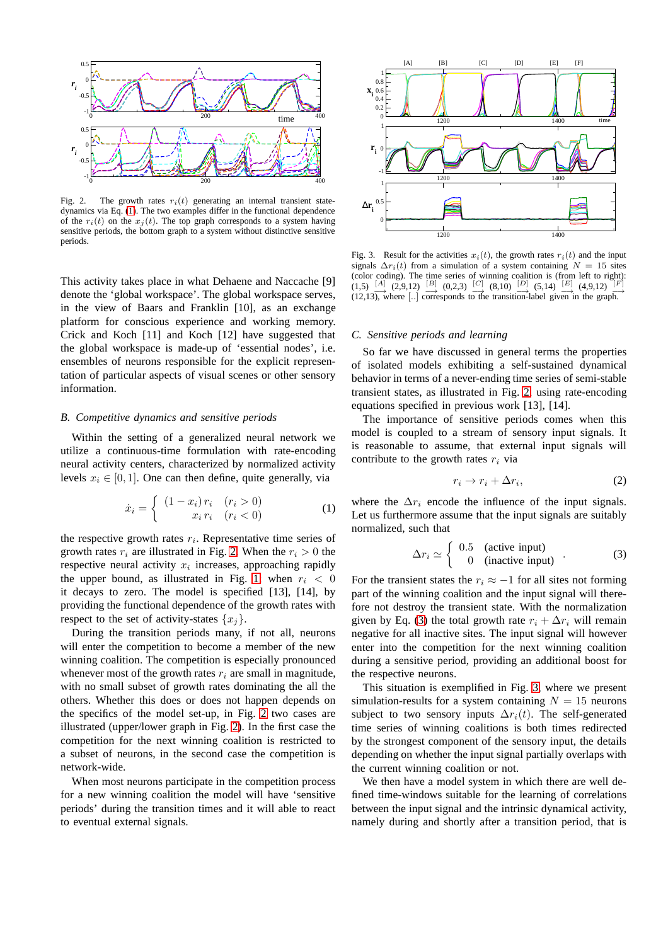

<span id="page-1-1"></span>Fig. 2. The growth rates  $r_i(t)$  generating an internal transient statedynamics via Eq. [\(1\)](#page-1-0). The two examples differ in the functional dependence of the  $r_i(t)$  on the  $x_j(t)$ . The top graph corresponds to a system having sensitive periods, the bottom graph to a system without distinctive sensitive periods.

This activity takes place in what Dehaene and Naccache [9] denote the 'global workspace'. The global workspace serves, in the view of Baars and Franklin [10], as an exchange platform for conscious experience and working memory. Crick and Koch [11] and Koch [12] have suggested that the global workspace is made-up of 'essential nodes', i.e. ensembles of neurons responsible for the explicit representation of particular aspects of visual scenes or other sensory information.

## *B. Competitive dynamics and sensitive periods*

Within the setting of a generalized neural network we utilize a continuous-time formulation with rate-encoding neural activity centers, characterized by normalized activity levels  $x_i \in [0, 1]$ . One can then define, quite generally, via

<span id="page-1-0"></span>
$$
\dot{x}_i = \begin{cases}\n(1 - x_i) r_i & (r_i > 0) \\
x_i r_i & (r_i < 0)\n\end{cases}\n\tag{1}
$$

the respective growth rates  $r_i$ . Representative time series of growth rates  $r_i$  are illustrated in Fig. [2.](#page-1-1) When the  $r_i > 0$  the respective neural activity  $x_i$  increases, approaching rapidly the upper bound, as illustrated in Fig. [1;](#page-0-0) when  $r_i < 0$ it decays to zero. The model is specified [13], [14], by providing the functional dependence of the growth rates with respect to the set of activity-states  $\{x_j\}$ .

During the transition periods many, if not all, neurons will enter the competition to become a member of the new winning coalition. The competition is especially pronounced whenever most of the growth rates  $r_i$  are small in magnitude, with no small subset of growth rates dominating the all the others. Whether this does or does not happen depends on the specifics of the model set-up, in Fig. [2](#page-1-1) two cases are illustrated (upper/lower graph in Fig. [2\)](#page-1-1). In the first case the competition for the next winning coalition is restricted to a subset of neurons, in the second case the competition is network-wide.

When most neurons participate in the competition process for a new winning coalition the model will have 'sensitive periods' during the transition times and it will able to react to eventual external signals.



<span id="page-1-3"></span>Fig. 3. Result for the activities  $x_i(t)$ , the growth rates  $r_i(t)$  and the input signals  $\Delta r_i(t)$  from a simulation of a system containing  $N = 15$  sites (color coding). The time series of winning coalition is (from left to right):<br>  $(1,5)$   $\stackrel{[A]}{\longrightarrow}$   $(2,9,12)$   $\stackrel{[B]}{\longrightarrow}$   $(0,2,3)$   $\stackrel{[C]}{\longrightarrow}$   $(8,10)$   $\stackrel{[D]}{\longrightarrow}$   $(5,14)$   $\stackrel{[E]}{\longrightarrow}$   $(4,9,12)$   $\stackrel{[F]}{\longrightarrow}$ (12,13), where [..] corresponds to the transition-label given in the graph.

### *C. Sensitive periods and learning*

So far we have discussed in general terms the properties of isolated models exhibiting a self-sustained dynamical behavior in terms of a never-ending time series of semi-stable transient states, as illustrated in Fig. [2,](#page-1-1) using rate-encoding equations specified in previous work [13], [14].

The importance of sensitive periods comes when this model is coupled to a stream of sensory input signals. It is reasonable to assume, that external input signals will contribute to the growth rates  $r_i$  via

<span id="page-1-4"></span>
$$
r_i \to r_i + \Delta r_i,\tag{2}
$$

where the  $\Delta r_i$  encode the influence of the input signals. Let us furthermore assume that the input signals are suitably normalized, such that

<span id="page-1-2"></span>
$$
\Delta r_i \simeq \begin{cases} 0.5 & \text{(active input)} \\ 0 & \text{(inactive input)} \end{cases} . \tag{3}
$$

For the transient states the  $r_i \approx -1$  for all sites not forming part of the winning coalition and the input signal will therefore not destroy the transient state. With the normalization given by Eq. [\(3\)](#page-1-2) the total growth rate  $r_i + \Delta r_i$  will remain negative for all inactive sites. The input signal will however enter into the competition for the next winning coalition during a sensitive period, providing an additional boost for the respective neurons.

This situation is exemplified in Fig. [3,](#page-1-3) where we present simulation-results for a system containing  $N = 15$  neurons subject to two sensory inputs  $\Delta r_i(t)$ . The self-generated time series of winning coalitions is both times redirected by the strongest component of the sensory input, the details depending on whether the input signal partially overlaps with the current winning coalition or not.

We then have a model system in which there are well defined time-windows suitable for the learning of correlations between the input signal and the intrinsic dynamical activity, namely during and shortly after a transition period, that is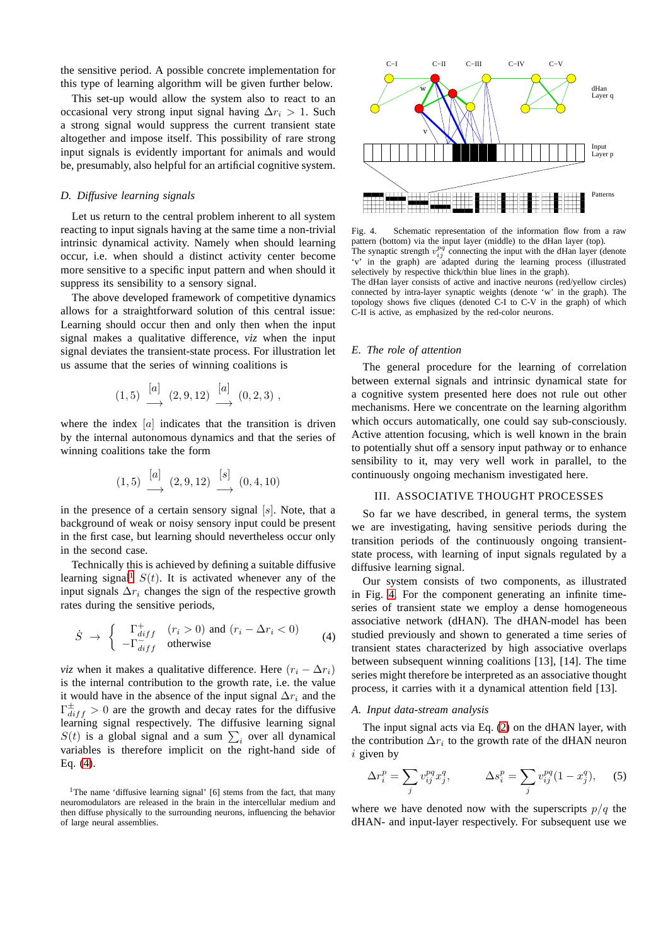the sensitive period. A possible concrete implementation for this type of learning algorithm will be given further below.

This set-up would allow the system also to react to an occasional very strong input signal having  $\Delta r_i > 1$ . Such a strong signal would suppress the current transient state altogether and impose itself. This possibility of rare strong input signals is evidently important for animals and would be, presumably, also helpful for an artificial cognitive system.

# *D. Diffusive learning signals*

Let us return to the central problem inherent to all system reacting to input signals having at the same time a non-trivial intrinsic dynamical activity. Namely when should learning occur, i.e. when should a distinct activity center become more sensitive to a specific input pattern and when should it suppress its sensibility to a sensory signal.

The above developed framework of competitive dynamics allows for a straightforward solution of this central issue: Learning should occur then and only then when the input signal makes a qualitative difference, *viz* when the input signal deviates the transient-state process. For illustration let us assume that the series of winning coalitions is

$$
(1,5) \xrightarrow{[a]} (2,9,12) \xrightarrow{[a]} (0,2,3) ,
$$

where the index  $[a]$  indicates that the transition is driven by the internal autonomous dynamics and that the series of winning coalitions take the form

$$
(1,5) \xrightarrow{[a]} (2,9,12) \xrightarrow{[s]} (0,4,10)
$$

in the presence of a certain sensory signal  $[s]$ . Note, that a background of weak or noisy sensory input could be present in the first case, but learning should nevertheless occur only in the second case.

Technically this is achieved by defining a suitable diffusive learning signal<sup>[1](#page-2-0)</sup>  $S(t)$ . It is activated whenever any of the input signals  $\Delta r_i$  changes the sign of the respective growth rates during the sensitive periods,

<span id="page-2-1"></span>
$$
\dot{S} \rightarrow \begin{cases} \Gamma_{diff}^{+} & (r_i > 0) \text{ and } (r_i - \Delta r_i < 0) \\ -\Gamma_{diff}^{-} & \text{otherwise} \end{cases}
$$
 (4)

*viz* when it makes a qualitative difference. Here  $(r_i - \Delta r_i)$ is the internal contribution to the growth rate, i.e. the value it would have in the absence of the input signal  $\Delta r_i$  and the  $\Gamma_{diff}^{\pm} > 0$  are the growth and decay rates for the diffusive learning signal respectively. The diffusive learning signal  $S(t)$  is a global signal and a sum  $\sum_i$  over all dynamical variables is therefore implicit on the right-hand side of Eq. [\(4\)](#page-2-1).



<span id="page-2-2"></span>Fig. 4. Schematic representation of the information flow from a raw pattern (bottom) via the input layer (middle) to the dHan layer (top). The synaptic strength  $v_{ij}^{pq}$  connecting the input with the dHan layer (denote 'v' in the graph) are adapted during the learning process (illustrated selectively by respective thick/thin blue lines in the graph).

The dHan layer consists of active and inactive neurons (red/yellow circles) connected by intra-layer synaptic weights (denote 'w' in the graph). The topology shows five cliques (denoted C-I to C-V in the graph) of which C-II is active, as emphasized by the red-color neurons.

### *E. The role of attention*

The general procedure for the learning of correlation between external signals and intrinsic dynamical state for a cognitive system presented here does not rule out other mechanisms. Here we concentrate on the learning algorithm which occurs automatically, one could say sub-consciously. Active attention focusing, which is well known in the brain to potentially shut off a sensory input pathway or to enhance sensibility to it, may very well work in parallel, to the continuously ongoing mechanism investigated here.

# III. ASSOCIATIVE THOUGHT PROCESSES

So far we have described, in general terms, the system we are investigating, having sensitive periods during the transition periods of the continuously ongoing transientstate process, with learning of input signals regulated by a diffusive learning signal.

Our system consists of two components, as illustrated in Fig. [4.](#page-2-2) For the component generating an infinite timeseries of transient state we employ a dense homogeneous associative network (dHAN). The dHAN-model has been studied previously and shown to generated a time series of transient states characterized by high associative overlaps between subsequent winning coalitions [13], [14]. The time series might therefore be interpreted as an associative thought process, it carries with it a dynamical attention field [13].

### *A. Input data-stream analysis*

The input signal acts via Eq. [\(2\)](#page-1-4) on the dHAN layer, with the contribution  $\Delta r_i$  to the growth rate of the dHAN neuron  $i$  given by

<span id="page-2-3"></span>
$$
\Delta r_i^p = \sum_j v_{ij}^{pq} x_j^q, \qquad \Delta s_i^p = \sum_j v_{ij}^{pq} (1 - x_j^q), \qquad (5)
$$

where we have denoted now with the superscripts  $p/q$  the dHAN- and input-layer respectively. For subsequent use we

<span id="page-2-0"></span><sup>&</sup>lt;sup>1</sup>The name 'diffusive learning signal' [6] stems from the fact, that many neuromodulators are released in the brain in the intercellular medium and then diffuse physically to the surrounding neurons, influencing the behavior of large neural assemblies.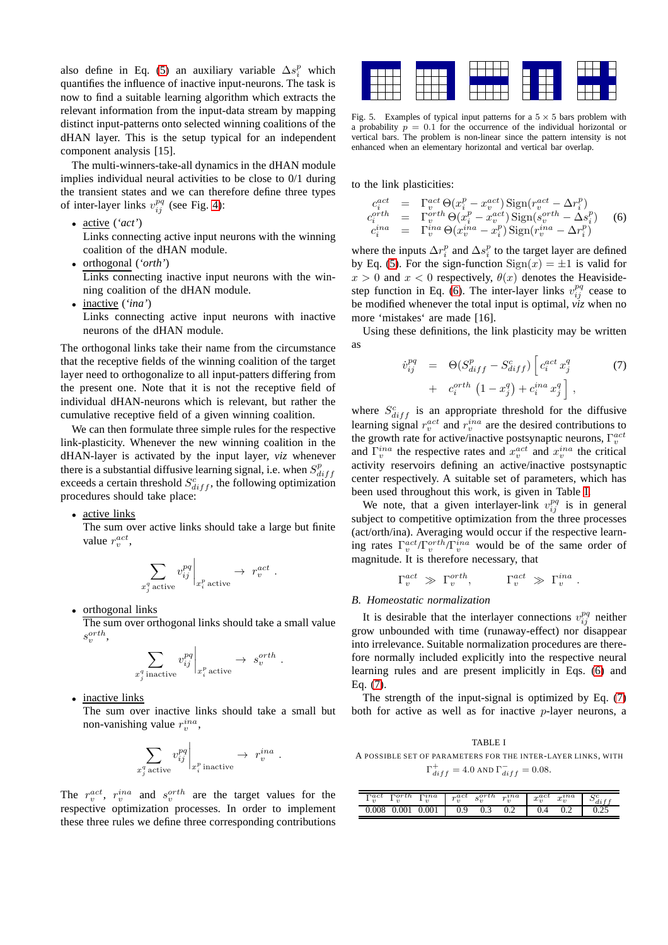also define in Eq. [\(5\)](#page-2-3) an auxiliary variable  $\Delta s_i^p$  which quantifies the influence of inactive input-neurons. The task is now to find a suitable learning algorithm which extracts the relevant information from the input-data stream by mapping distinct input-patterns onto selected winning coalitions of the dHAN layer. This is the setup typical for an independent component analysis [15].

The multi-winners-take-all dynamics in the dHAN module implies individual neural activities to be close to 0/1 during the transient states and we can therefore define three types of inter-layer links  $v_{ij}^{pq}$  (see Fig. [4\)](#page-2-2):

• active (*'act'*)

Links connecting active input neurons with the winning coalition of the dHAN module.

• orthogonal (*'orth'*)

Links connecting inactive input neurons with the winning coalition of the dHAN module.

• inactive (*'ina'*) Links connecting active input neurons with inactive neurons of the dHAN module.

The orthogonal links take their name from the circumstance that the receptive fields of the winning coalition of the target layer need to orthogonalize to all input-patters differing from the present one. Note that it is not the receptive field of individual dHAN-neurons which is relevant, but rather the cumulative receptive field of a given winning coalition.

We can then formulate three simple rules for the respective link-plasticity. Whenever the new winning coalition in the dHAN-layer is activated by the input layer, *viz* whenever there is a substantial diffusive learning signal, i.e. when  $S_{diff}^p$ exceeds a certain threshold  $S^c_{diff}$ , the following optimization procedures should take place:

• active links

The sum over active links should take a large but finite value  $r_v^{act}$ ,

$$
\sum_{x_j^q \text{ active}} v_{ij}^{pq} \bigg|_{x_i^p \text{ active}} \to r_v^{act}.
$$

• orthogonal links

The sum over orthogonal links should take a small value  $s_v^{orth},$ 

$$
\sum_{x_j^q \text{ inactive}} v_{ij}^{pq} \bigg|_{x_i^p \text{ active}} \to s_v^{orth}
$$

.

inactive links

The sum over inactive links should take a small but non-vanishing value  $r_v^{ina}$ ,

$$
\sum_{x_j^q \text{ active}} v_{ij}^{pq} \bigg|_{x_i^p \text{ inactive}} \to r_v^{ina} \ .
$$

The  $r_v^{act}$ ,  $r_v^{ina}$  and  $s_v^{orth}$  are the target values for the respective optimization processes. In order to implement these three rules we define three corresponding contributions



<span id="page-3-3"></span>Fig. 5. Examples of typical input patterns for a  $5 \times 5$  bars problem with a probability  $p = 0.1$  for the occurrence of the individual horizontal or vertical bars. The problem is non-linear since the pattern intensity is not enhanced when an elementary horizontal and vertical bar overlap.

to the link plasticities:

<span id="page-3-0"></span>
$$
c_i^{act} = \Gamma_v^{act} \Theta(x_i^p - x_v^{act}) \text{Sign}(r_v^{act} - \Delta r_i^p)
$$
  
\n
$$
c_i^{orth} = \Gamma_v^{orth} \Theta(x_i^p - x_v^{act}) \text{Sign}(s_v^{orth} - \Delta s_i^p)
$$
  
\n
$$
c_i^{ina} = \Gamma_v^{ina} \Theta(x_v^{ina} - x_i^p) \text{Sign}(r_v^{ina} - \Delta r_i^p)
$$
 (6)

where the inputs  $\Delta r_i^p$  and  $\Delta s_i^p$  to the target layer are defined by Eq. [\(5\)](#page-2-3). For the sign-function  $Sign(x) = \pm 1$  is valid for  $x > 0$  and  $x < 0$  respectively,  $\theta(x)$  denotes the Heaviside-step function in Eq. [\(6\)](#page-3-0). The inter-layer links  $v_{ij}^{pq}$  cease to be modified whenever the total input is optimal, *viz* when no more 'mistakes' are made [16].

Using these definitions, the link plasticity may be written as

<span id="page-3-2"></span>
$$
\dot{v}_{ij}^{pq} = \Theta(S_{diff}^p - S_{diff}^c) \left[ c_i^{act} x_j^q \right] \n+ c_i^{orth} \left( 1 - x_j^q \right) + c_i^{ina} x_j^q \right],
$$
\n(7)

where  $S_{diff}^{c}$  is an appropriate threshold for the diffusive learning signal  $r_v^{act}$  and  $r_v^{ina}$  are the desired contributions to the growth rate for active/inactive postsynaptic neurons,  $\Gamma_v^{act}$ and  $\Gamma_v^{ina}$  the respective rates and  $x_v^{act}$  and  $x_v^{ina}$  the critical activity reservoirs defining an active/inactive postsynaptic center respectively. A suitable set of parameters, which has been used throughout this work, is given in Table [I.](#page-3-1)

We note, that a given interlayer-link  $v_{ij}^{pq}$  is in general subject to competitive optimization from the three processes (act/orth/ina). Averaging would occur if the respective learning rates  $\Gamma_v^{act}/\Gamma_v^{orth}/\Gamma_v^{ina}$  would be of the same order of magnitude. It is therefore necessary, that

$$
\Gamma_v^{act} \ \gg \ \Gamma_v^{orth}, \qquad \quad \Gamma_v^{act} \ \gg \ \Gamma_v^{ina} \ .
$$

### *B. Homeostatic normalization*

It is desirable that the interlayer connections  $v_{ij}^{pq}$  neither grow unbounded with time (runaway-effect) nor disappear into irrelevance. Suitable normalization procedures are therefore normally included explicitly into the respective neural learning rules and are present implicitly in Eqs. [\(6\)](#page-3-0) and Eq. [\(7\)](#page-3-2).

The strength of the input-signal is optimized by Eq. [\(7\)](#page-3-2) both for active as well as for inactive  $p$ -layer neurons, a

TABLE I

<span id="page-3-1"></span>A POSSIBLE SET OF PARAMETERS FOR THE INTER-LAYER LINKS, WITH  $\Gamma^+_{diff} = 4.0$  and  $\Gamma^-_{diff} = 0.08$ .

| $\boldsymbol{\Gamma} act$<br>$\Gamma$ <sup>na</sup><br>$\lnot$ orth | $_{n}$ act<br>$_{0}$ orth<br>$n$ <sup>na</sup>       | $_{\alpha}$ act<br>$\alpha$ <sup>ina</sup>   |                      |
|---------------------------------------------------------------------|------------------------------------------------------|----------------------------------------------|----------------------|
| $\mathbf{a}$<br>21<br>$\boldsymbol{\eta}$                           | $\boldsymbol{\omega}$<br>$\boldsymbol{\eta}$<br>. הי | $u_{\eta}$<br>$\boldsymbol{\omega}_{\alpha}$ | <br>$\boldsymbol{u}$ |
| 001<br>$^{(1)}$                                                     |                                                      |                                              |                      |
| 0.008                                                               | 0.9<br>∪.∠<br>∪.⊃                                    | ∪.∠                                          | ∪.∠.                 |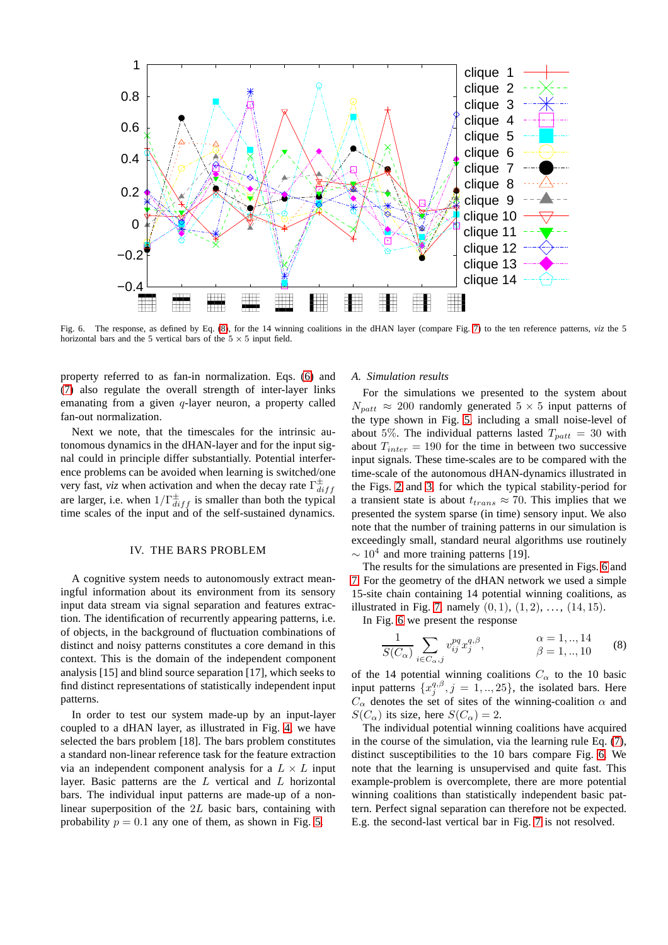

<span id="page-4-1"></span>Fig. 6. The response, as defined by Eq. [\(8\)](#page-4-0), for the 14 winning coalitions in the dHAN layer (compare Fig. [7\)](#page-5-0) to the ten reference patterns, *viz* the 5 horizontal bars and the 5 vertical bars of the  $5 \times 5$  input field.

property referred to as fan-in normalization. Eqs. [\(6\)](#page-3-0) and [\(7\)](#page-3-2) also regulate the overall strength of inter-layer links emanating from a given  $q$ -layer neuron, a property called fan-out normalization.

Next we note, that the timescales for the intrinsic autonomous dynamics in the dHAN-layer and for the input signal could in principle differ substantially. Potential interference problems can be avoided when learning is switched/one very fast, *viz* when activation and when the decay rate  $\Gamma_{di}^{\pm}$  $_{diff}$ are larger, i.e. when  $1/\Gamma_{diff}^{\pm}$  is smaller than both the typical time scales of the input and of the self-sustained dynamics.

### IV. THE BARS PROBLEM

A cognitive system needs to autonomously extract meaningful information about its environment from its sensory input data stream via signal separation and features extraction. The identification of recurrently appearing patterns, i.e. of objects, in the background of fluctuation combinations of distinct and noisy patterns constitutes a core demand in this context. This is the domain of the independent component analysis [15] and blind source separation [17], which seeks to find distinct representations of statistically independent input patterns.

In order to test our system made-up by an input-layer coupled to a dHAN layer, as illustrated in Fig. [4,](#page-2-2) we have selected the bars problem [18]. The bars problem constitutes a standard non-linear reference task for the feature extraction via an independent component analysis for a  $L \times L$  input layer. Basic patterns are the L vertical and L horizontal bars. The individual input patterns are made-up of a nonlinear superposition of the 2L basic bars, containing with probability  $p = 0.1$  any one of them, as shown in Fig. [5.](#page-3-3)

### *A. Simulation results*

For the simulations we presented to the system about  $N_{\text{part}} \approx 200$  randomly generated  $5 \times 5$  input patterns of the type shown in Fig. [5,](#page-3-3) including a small noise-level of about 5%. The individual patterns lasted  $T_{\text{part}} = 30$  with about  $T_{inter} = 190$  for the time in between two successive input signals. These time-scales are to be compared with the time-scale of the autonomous dHAN-dynamics illustrated in the Figs. [2](#page-1-1) and [3,](#page-1-3) for which the typical stability-period for a transient state is about  $t_{trans} \approx 70$ . This implies that we presented the system sparse (in time) sensory input. We also note that the number of training patterns in our simulation is exceedingly small, standard neural algorithms use routinely  $\sim 10^4$  and more training patterns [19].

The results for the simulations are presented in Figs. [6](#page-4-1) and [7.](#page-5-0) For the geometry of the dHAN network we used a simple 15-site chain containing 14 potential winning coalitions, as illustrated in Fig. [7,](#page-5-0) namely  $(0, 1)$ ,  $(1, 2)$ , ...,  $(14, 15)$ .

In Fig. [6](#page-4-1) we present the response

<span id="page-4-0"></span>
$$
\frac{1}{S(C_{\alpha})} \sum_{i \in C_{\alpha}, j} v_{ij}^{pq} x_j^{q, \beta}, \qquad \alpha = 1, ..., 14 \qquad (8)
$$

of the 14 potential winning coalitions  $C_{\alpha}$  to the 10 basic input patterns  $\{x_j^{q,\beta}, j = 1, ..., 25\}$ , the isolated bars. Here  $C_{\alpha}$  denotes the set of sites of the winning-coalition  $\alpha$  and  $S(C_{\alpha})$  its size, here  $S(C_{\alpha}) = 2$ .

The individual potential winning coalitions have acquired in the course of the simulation, via the learning rule Eq. [\(7\)](#page-3-2), distinct susceptibilities to the 10 bars compare Fig. [6.](#page-4-1) We note that the learning is unsupervised and quite fast. This example-problem is overcomplete, there are more potential winning coalitions than statistically independent basic pattern. Perfect signal separation can therefore not be expected. E.g. the second-last vertical bar in Fig. [7](#page-5-0) is not resolved.